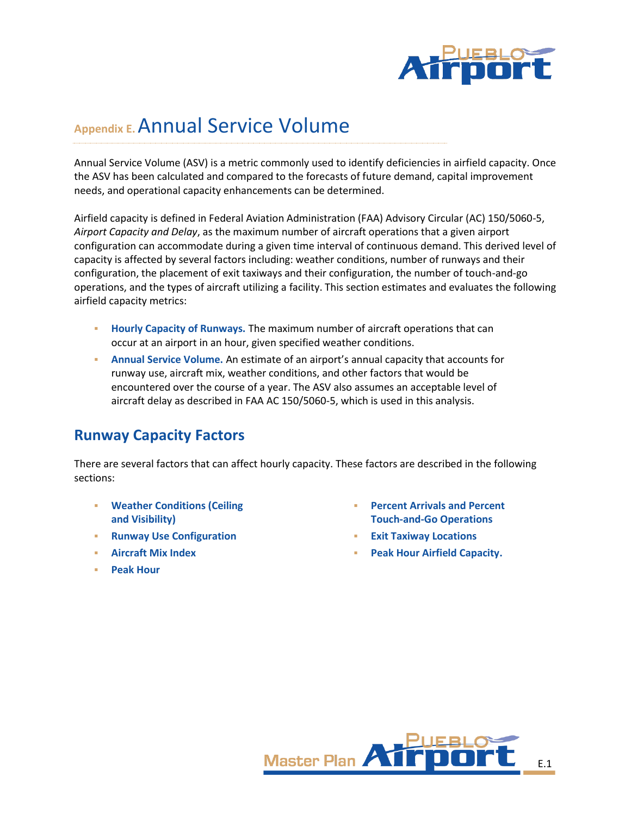

# **Appendix E.**Annual Service Volume

Annual Service Volume (ASV) is a metric commonly used to identify deficiencies in airfield capacity. Once the ASV has been calculated and compared to the forecasts of future demand, capital improvement needs, and operational capacity enhancements can be determined.

Airfield capacity is defined in Federal Aviation Administration (FAA) Advisory Circular (AC) 150/5060-5, *Airport Capacity and Delay*, as the maximum number of aircraft operations that a given airport configuration can accommodate during a given time interval of continuous demand. This derived level of capacity is affected by several factors including: weather conditions, number of runways and their configuration, the placement of exit taxiways and their configuration, the number of touch-and-go operations, and the types of aircraft utilizing a facility. This section estimates and evaluates the following airfield capacity metrics:

- **Hourly Capacity of Runways.** The maximum number of aircraft operations that can occur at an airport in an hour, given specified weather conditions.
- **Annual Service Volume.** An estimate of an airport's annual capacity that accounts for runway use, aircraft mix, weather conditions, and other factors that would be encountered over the course of a year. The ASV also assumes an acceptable level of aircraft delay as described in FAA AC 150/5060-5, which is used in this analysis.

## **Runway Capacity Factors**

There are several factors that can affect hourly capacity. These factors are described in the following sections:

- **Weather Conditions (Ceiling and Visibility)**
- **Runway Use Configuration**
- **Aircraft Mix Index**
- **Peak Hour**
- **Percent Arrivals and Percent Touch-and-Go Operations**
- **Exit Taxiway Locations**
- **Peak Hour Airfield Capacity.**

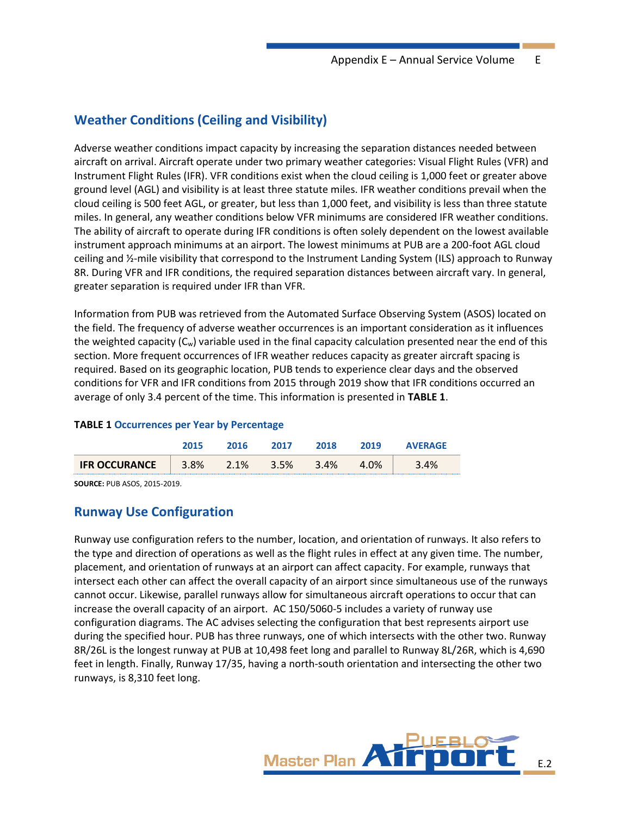## **Weather Conditions (Ceiling and Visibility)**

Adverse weather conditions impact capacity by increasing the separation distances needed between aircraft on arrival. Aircraft operate under two primary weather categories: Visual Flight Rules (VFR) and Instrument Flight Rules (IFR). VFR conditions exist when the cloud ceiling is 1,000 feet or greater above ground level (AGL) and visibility is at least three statute miles. IFR weather conditions prevail when the cloud ceiling is 500 feet AGL, or greater, but less than 1,000 feet, and visibility is less than three statute miles. In general, any weather conditions below VFR minimums are considered IFR weather conditions. The ability of aircraft to operate during IFR conditions is often solely dependent on the lowest available instrument approach minimums at an airport. The lowest minimums at PUB are a 200-foot AGL cloud ceiling and ½-mile visibility that correspond to the Instrument Landing System (ILS) approach to Runway 8R. During VFR and IFR conditions, the required separation distances between aircraft vary. In general, greater separation is required under IFR than VFR.

Information from PUB was retrieved from the Automated Surface Observing System (ASOS) located on the field. The frequency of adverse weather occurrences is an important consideration as it influences the weighted capacity  $(C_w)$  variable used in the final capacity calculation presented near the end of this section. More frequent occurrences of IFR weather reduces capacity as greater aircraft spacing is required. Based on its geographic location, PUB tends to experience clear days and the observed conditions for VFR and IFR conditions from 2015 through 2019 show that IFR conditions occurred an average of only 3.4 percent of the time. This information is presented in **[TABLE 1](#page-1-0)**.

#### <span id="page-1-0"></span>**TABLE 1 Occurrences per Year by Percentage**

|                      | 2015 | 201 A | 2017 | 2018 | 2019 | <b>AVERAGE</b> |
|----------------------|------|-------|------|------|------|----------------|
| <b>IFR OCCURANCE</b> | 3.8% | 2.1%  | 3.5% | 3.4% | 4.0% | 4%             |

**SOURCE:** PUB ASOS, 2015-2019.

### **Runway Use Configuration**

Runway use configuration refers to the number, location, and orientation of runways. It also refers to the type and direction of operations as well as the flight rules in effect at any given time. The number, placement, and orientation of runways at an airport can affect capacity. For example, runways that intersect each other can affect the overall capacity of an airport since simultaneous use of the runways cannot occur. Likewise, parallel runways allow for simultaneous aircraft operations to occur that can increase the overall capacity of an airport. AC 150/5060-5 includes a variety of runway use configuration diagrams. The AC advises selecting the configuration that best represents airport use during the specified hour. PUB has three runways, one of which intersects with the other two. Runway 8R/26L is the longest runway at PUB at 10,498 feet long and parallel to Runway 8L/26R, which is 4,690 feet in length. Finally, Runway 17/35, having a north-south orientation and intersecting the other two runways, is 8,310 feet long.

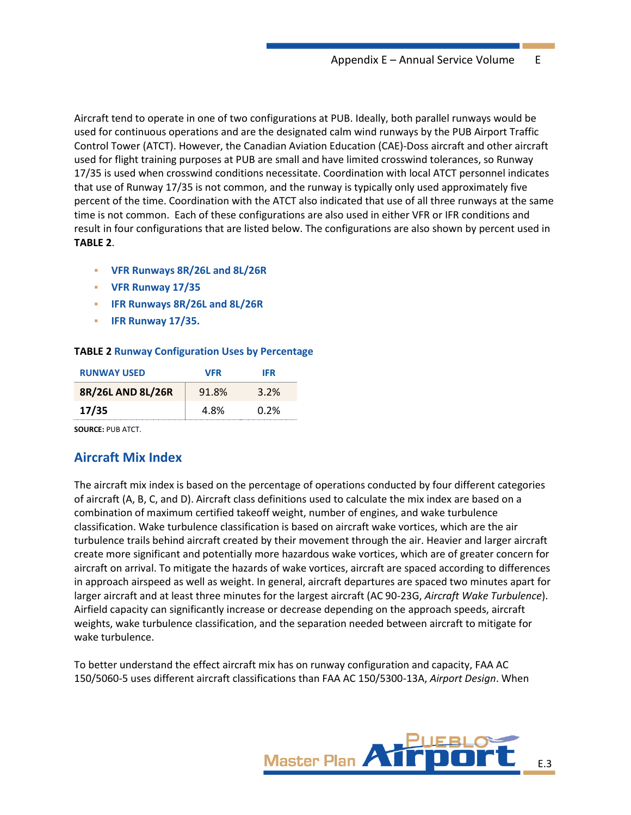Aircraft tend to operate in one of two configurations at PUB. Ideally, both parallel runways would be used for continuous operations and are the designated calm wind runways by the PUB Airport Traffic Control Tower (ATCT). However, the Canadian Aviation Education (CAE)-Doss aircraft and other aircraft used for flight training purposes at PUB are small and have limited crosswind tolerances, so Runway 17/35 is used when crosswind conditions necessitate. Coordination with local ATCT personnel indicates that use of Runway 17/35 is not common, and the runway is typically only used approximately five percent of the time. Coordination with the ATCT also indicated that use of all three runways at the same time is not common. Each of these configurations are also used in either VFR or IFR conditions and result in four configurations that are listed below. The configurations are also shown by percent used in **[TABLE](#page-2-0) 2**.

- **VFR Runways 8R/26L and 8L/26R**
- **VFR Runway 17/35**
- **IFR Runways 8R/26L and 8L/26R**
- **IFR Runway 17/35.**

#### <span id="page-2-0"></span>**TABLE 2 Runway Configuration Uses by Percentage**

| <b>RUNWAY USED</b> | <b>VFR</b> | <b>IFR</b> |
|--------------------|------------|------------|
| 8R/26L AND 8L/26R  | 91.8%      | 3.2%       |
| 17/35              | 4.8%       | $0.2\%$    |

**SOURCE:** PUB ATCT.

## **Aircraft Mix Index**

The aircraft mix index is based on the percentage of operations conducted by four different categories of aircraft (A, B, C, and D). Aircraft class definitions used to calculate the mix index are based on a combination of maximum certified takeoff weight, number of engines, and wake turbulence classification. Wake turbulence classification is based on aircraft wake vortices, which are the air turbulence trails behind aircraft created by their movement through the air. Heavier and larger aircraft create more significant and potentially more hazardous wake vortices, which are of greater concern for aircraft on arrival. To mitigate the hazards of wake vortices, aircraft are spaced according to differences in approach airspeed as well as weight. In general, aircraft departures are spaced two minutes apart for larger aircraft and at least three minutes for the largest aircraft (AC 90-23G, *Aircraft Wake Turbulence*). Airfield capacity can significantly increase or decrease depending on the approach speeds, aircraft weights, wake turbulence classification, and the separation needed between aircraft to mitigate for wake turbulence.

To better understand the effect aircraft mix has on runway configuration and capacity, FAA AC 150/5060-5 uses different aircraft classifications than FAA AC 150/5300-13A, *Airport Design*. When

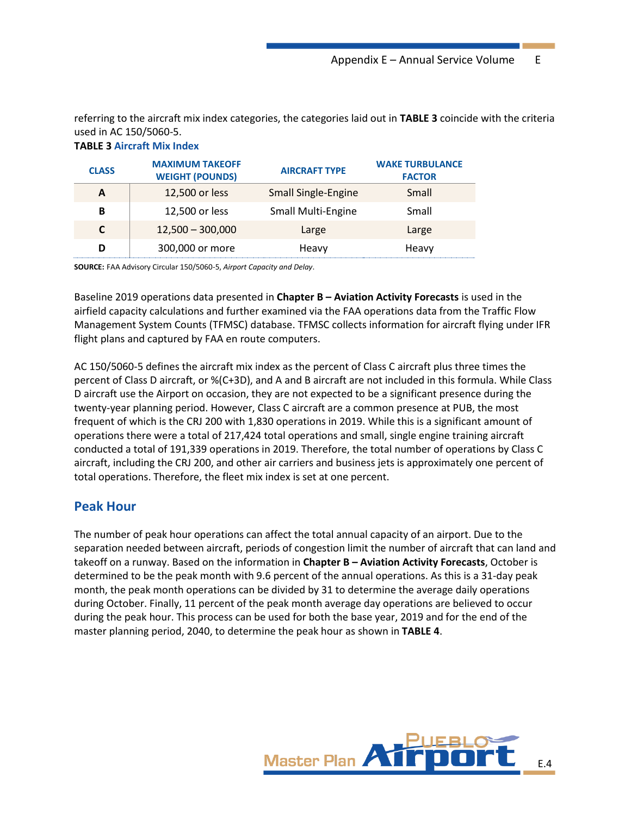referring to the aircraft mix index categories, the categories laid out in **[TABLE 3](#page-3-0)** coincide with the criteria used in AC 150/5060-5.

#### <span id="page-3-0"></span>**TABLE 3 Aircraft Mix Index**

| <b>CLASS</b> | <b>MAXIMUM TAKEOFF</b><br><b>WEIGHT (POUNDS)</b> | <b>AIRCRAFT TYPE</b>       | <b>WAKE TURBULANCE</b><br><b>FACTOR</b> |
|--------------|--------------------------------------------------|----------------------------|-----------------------------------------|
|              | 12,500 or less                                   | <b>Small Single-Engine</b> | Small                                   |
| B            | 12,500 or less                                   | <b>Small Multi-Engine</b>  | Small                                   |
|              | $12,500 - 300,000$                               | Large                      | Large                                   |
|              | 300,000 or more                                  | Heavy                      | Heavy                                   |

**SOURCE:** FAA Advisory Circular 150/5060-5, *Airport Capacity and Delay*.

Baseline 2019 operations data presented in **Chapter B – Aviation Activity Forecasts** is used in the airfield capacity calculations and further examined via the FAA operations data from the Traffic Flow Management System Counts (TFMSC) database. TFMSC collects information for aircraft flying under IFR flight plans and captured by FAA en route computers.

AC 150/5060-5 defines the aircraft mix index as the percent of Class C aircraft plus three times the percent of Class D aircraft, or %(C+3D), and A and B aircraft are not included in this formula. While Class D aircraft use the Airport on occasion, they are not expected to be a significant presence during the twenty-year planning period. However, Class C aircraft are a common presence at PUB, the most frequent of which is the CRJ 200 with 1,830 operations in 2019. While this is a significant amount of operations there were a total of 217,424 total operations and small, single engine training aircraft conducted a total of 191,339 operations in 2019. Therefore, the total number of operations by Class C aircraft, including the CRJ 200, and other air carriers and business jets is approximately one percent of total operations. Therefore, the fleet mix index is set at one percent.

### **Peak Hour**

The number of peak hour operations can affect the total annual capacity of an airport. Due to the separation needed between aircraft, periods of congestion limit the number of aircraft that can land and takeoff on a runway. Based on the information in **Chapter B – Aviation Activity Forecasts**, October is determined to be the peak month with 9.6 percent of the annual operations. As this is a 31-day peak month, the peak month operations can be divided by 31 to determine the average daily operations during October. Finally, 11 percent of the peak month average day operations are believed to occur during the peak hour. This process can be used for both the base year, 2019 and for the end of the master planning period, 2040, to determine the peak hour as shown in **[TABLE 4](#page-4-0)**.

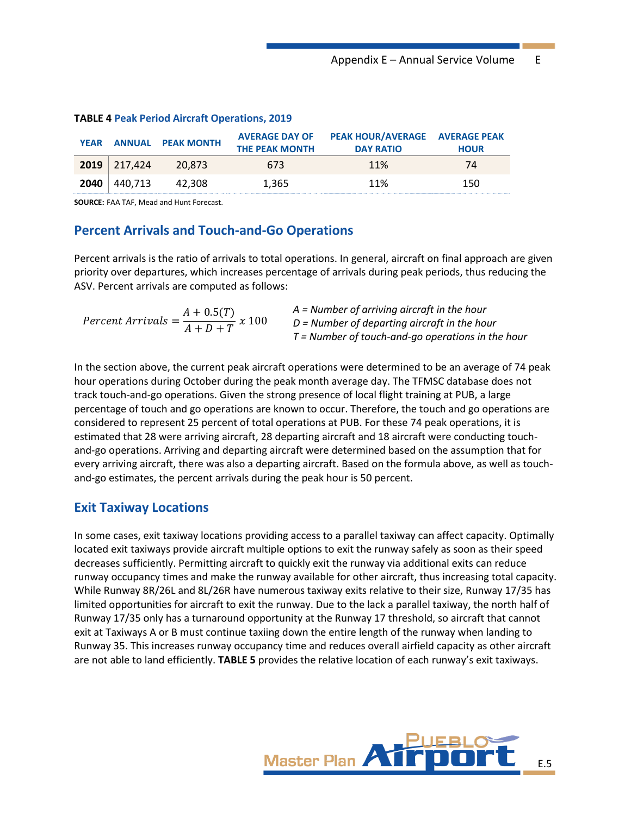|      |                  | YEAR ANNUAL PEAK MONTH | <b>AVERAGE DAY OF</b><br><b>THE PEAK MONTH</b> | <b>PEAK HOUR/AVERAGE AVERAGE PEAK</b><br><b>DAY RATIO</b> | <b>HOUR</b> |
|------|------------------|------------------------|------------------------------------------------|-----------------------------------------------------------|-------------|
|      | $2019$   217.424 | 20.873                 | 673                                            | 11%                                                       | 74          |
| 2040 | 440.713          | 42.308                 | 1.365                                          | 11%                                                       | 150         |

#### <span id="page-4-0"></span>**TABLE 4 Peak Period Aircraft Operations, 2019**

**SOURCE:** FAA TAF, Mead and Hunt Forecast.

#### **Percent Arrivals and Touch-and-Go Operations**

Percent arrivals is the ratio of arrivals to total operations. In general, aircraft on final approach are given priority over departures, which increases percentage of arrivals during peak periods, thus reducing the ASV. Percent arrivals are computed as follows:

|                                                         | $A =$ Number of arriving aircraft in the hour       |
|---------------------------------------------------------|-----------------------------------------------------|
| Percent Arrivals = $\frac{A + 0.5(T)}{A + D + T} x 100$ | $D$ = Number of departing aircraft in the hour      |
|                                                         | $T =$ Number of touch-and-go operations in the hour |

In the section above, the current peak aircraft operations were determined to be an average of 74 peak hour operations during October during the peak month average day. The TFMSC database does not track touch-and-go operations. Given the strong presence of local flight training at PUB, a large percentage of touch and go operations are known to occur. Therefore, the touch and go operations are considered to represent 25 percent of total operations at PUB. For these 74 peak operations, it is estimated that 28 were arriving aircraft, 28 departing aircraft and 18 aircraft were conducting touchand-go operations. Arriving and departing aircraft were determined based on the assumption that for every arriving aircraft, there was also a departing aircraft. Based on the formula above, as well as touchand-go estimates, the percent arrivals during the peak hour is 50 percent.

### **Exit Taxiway Locations**

In some cases, exit taxiway locations providing access to a parallel taxiway can affect capacity. Optimally located exit taxiways provide aircraft multiple options to exit the runway safely as soon as their speed decreases sufficiently. Permitting aircraft to quickly exit the runway via additional exits can reduce runway occupancy times and make the runway available for other aircraft, thus increasing total capacity. While Runway 8R/26L and 8L/26R have numerous taxiway exits relative to their size, Runway 17/35 has limited opportunities for aircraft to exit the runway. Due to the lack a parallel taxiway, the north half of Runway 17/35 only has a turnaround opportunity at the Runway 17 threshold, so aircraft that cannot exit at Taxiways A or B must continue taxiing down the entire length of the runway when landing to Runway 35. This increases runway occupancy time and reduces overall airfield capacity as other aircraft are not able to land efficiently. **[TABLE 5](#page-5-0)** provides the relative location of each runway's exit taxiways.

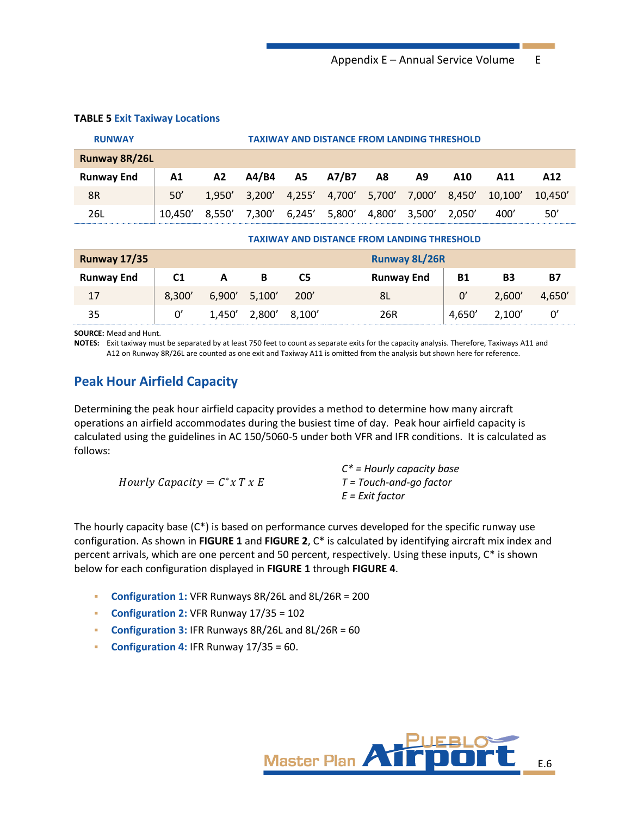| <b>RUNWAY</b>        | <b>TAXIWAY AND DISTANCE FROM LANDING THRESHOLD</b> |        |                                           |    |                                           |    |    |     |         |         |
|----------------------|----------------------------------------------------|--------|-------------------------------------------|----|-------------------------------------------|----|----|-----|---------|---------|
| <b>Runway 8R/26L</b> |                                                    |        |                                           |    |                                           |    |    |     |         |         |
| <b>Runway End</b>    | A1                                                 | A2     | A4/B4                                     | A5 | A7/B7                                     | A8 | A9 | A10 | A11     | A12     |
| 8R                   | 50'                                                | 1.950' |                                           |    | 3,200' 4,255' 4,700' 5,700' 7,000' 8,450' |    |    |     | 10,100' | 10.450' |
| 26L                  | 10.450'                                            | 8.550' | 7,300′ 6,245′ 5,800′ 4,800′ 3,500′ 2,050′ |    |                                           |    |    |     | 400′    | 50'     |

#### <span id="page-5-0"></span>**TABLE 5 Exit Taxiway Locations**

| <b>TAXIWAY AND DISTANCE FROM LANDING THRESHOLD</b> |                |        |               |        |                      |           |        |           |
|----------------------------------------------------|----------------|--------|---------------|--------|----------------------|-----------|--------|-----------|
| <b>Runway 17/35</b>                                |                |        |               |        | <b>Runway 8L/26R</b> |           |        |           |
| <b>Runway End</b>                                  | C <sub>1</sub> | A      | В             | C5     | <b>Runway End</b>    | <b>B1</b> | B3     | <b>B7</b> |
| 17                                                 | 8,300'         |        | 6,900' 5,100' | 200'   | 8L                   | 0'        | 2,600' | 4,650'    |
| 35                                                 | 0'             | 1,450' | 2,800'        | 8,100' | 26R                  | 4,650'    | 2,100' | 0'        |

**SOURCE:** Mead and Hunt.

**NOTES:** Exit taxiway must be separated by at least 750 feet to count as separate exits for the capacity analysis. Therefore, Taxiways A11 and A12 on Runway 8R/26L are counted as one exit and Taxiway A11 is omitted from the analysis but shown here for reference.

## **Peak Hour Airfield Capacity**

Determining the peak hour airfield capacity provides a method to determine how many aircraft operations an airfield accommodates during the busiest time of day. Peak hour airfield capacity is calculated using the guidelines in AC 150/5060-5 under both VFR and IFR conditions. It is calculated as follows:

|                                | $C^*$ = Hourly capacity base     |
|--------------------------------|----------------------------------|
| Hourly Capacity = $C^*x$ T x E | $T = \text{Touch-and-go factor}$ |
|                                | E = Exit factor                  |

The hourly capacity base  $(C^*)$  is based on performance curves developed for the specific runway use configuration. As shown in **[FIGURE 1](#page-6-0)** and **[FIGURE 2](#page-7-0)**, C\* is calculated by identifying aircraft mix index and percent arrivals, which are one percent and 50 percent, respectively. Using these inputs, C\* is shown below for each configuration displayed in **[FIGURE 1](#page-6-0)** through **[FIGURE 4](#page-9-0)**.

- **Configuration 1:** VFR Runways 8R/26L and 8L/26R = 200
- **Configuration 2:** VFR Runway 17/35 = 102
- **Configuration 3:** IFR Runways 8R/26L and 8L/26R = 60
- **Configuration 4:** IFR Runway 17/35 = 60.

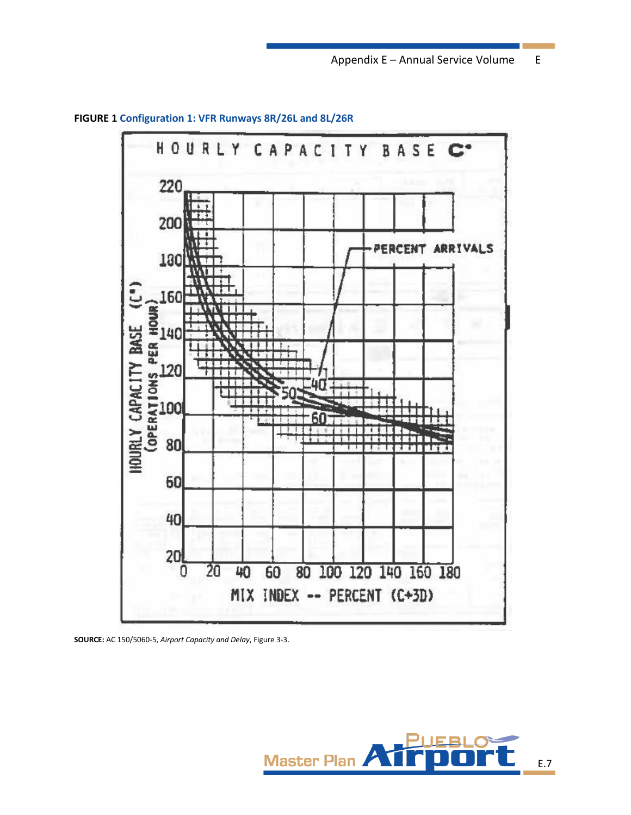

<span id="page-6-0"></span>**FIGURE 1 Configuration 1: VFR Runways 8R/26L and 8L/26R**

**SOURCE:** AC 150/5060-5, *Airport Capacity and Delay*, Figure 3-3.

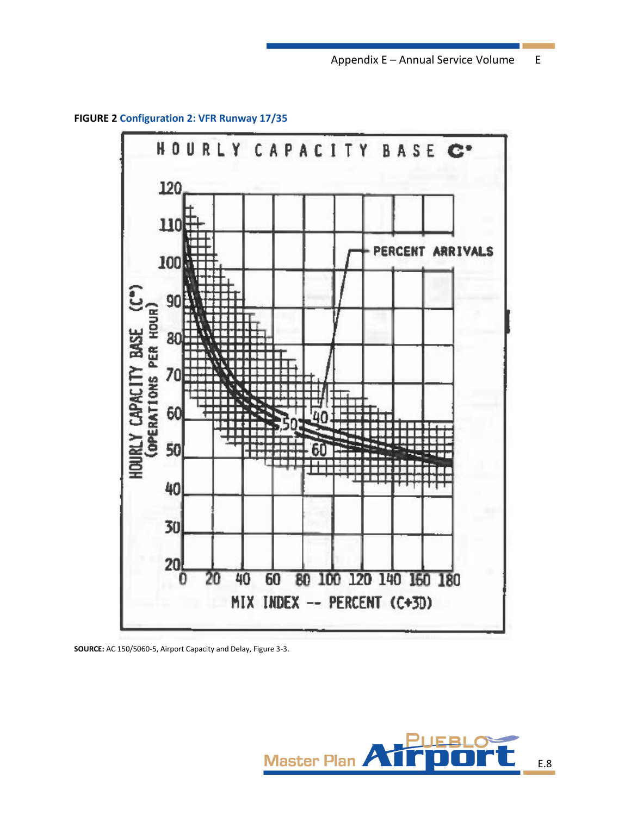<span id="page-7-0"></span>**FIGURE 2 Configuration 2: VFR Runway 17/35**



**SOURCE:** AC 150/5060-5, Airport Capacity and Delay, Figure 3-3.

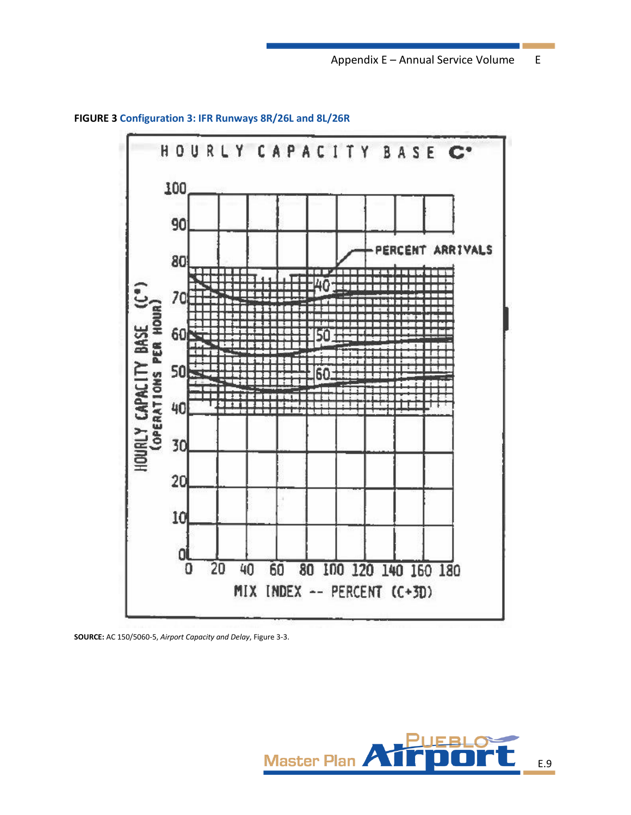

**FIGURE 3 Configuration 3: IFR Runways 8R/26L and 8L/26R**

**SOURCE:** AC 150/5060-5, *Airport Capacity and Delay*, Figure 3-3.

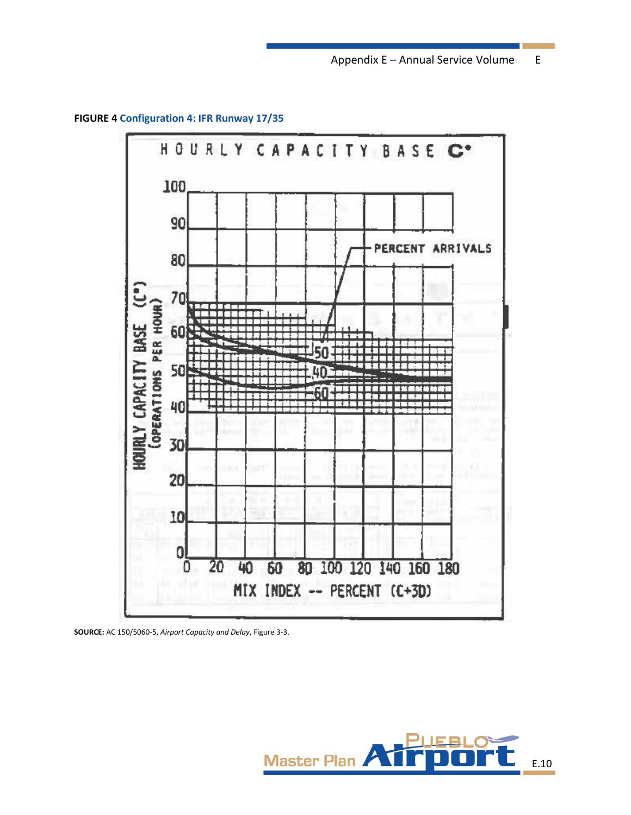Appendix E – Annual Service Volume E

<span id="page-9-0"></span>**FIGURE 4 Configuration 4: IFR Runway 17/35**



**SOURCE:** AC 150/5060-5, *Airport Capacity and Delay*, Figure 3-3.

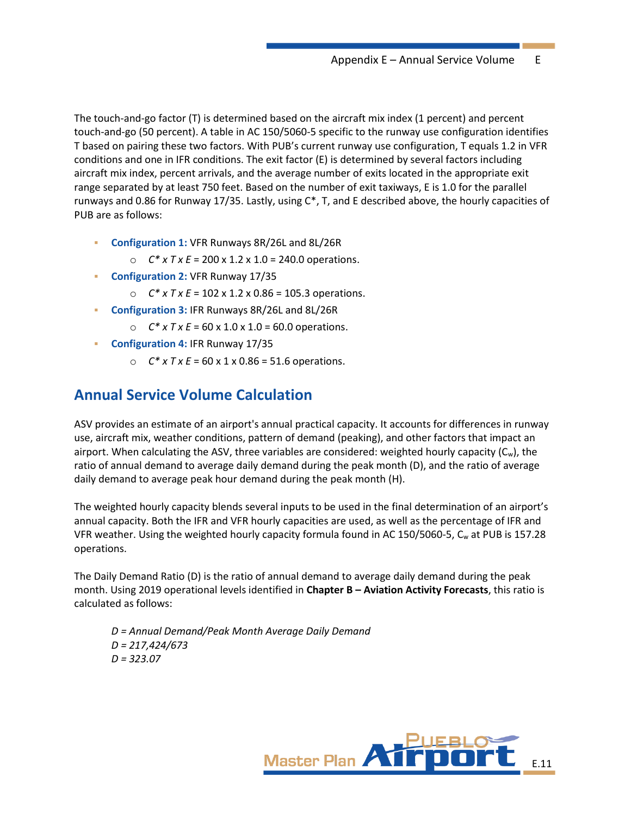The touch-and-go factor (T) is determined based on the aircraft mix index (1 percent) and percent touch-and-go (50 percent). A table in AC 150/5060-5 specific to the runway use configuration identifies T based on pairing these two factors. With PUB's current runway use configuration, T equals 1.2 in VFR conditions and one in IFR conditions. The exit factor (E) is determined by several factors including aircraft mix index, percent arrivals, and the average number of exits located in the appropriate exit range separated by at least 750 feet. Based on the number of exit taxiways, E is 1.0 for the parallel runways and 0.86 for Runway 17/35. Lastly, using C\*, T, and E described above, the hourly capacities of PUB are as follows:

- **Configuration 1:** VFR Runways 8R/26L and 8L/26R
	- $C^*$  x  $TxE = 200$  x 1.2 x 1.0 = 240.0 operations.
- **Configuration 2:** VFR Runway 17/35
	- o *C\* x T x E* = 102 x 1.2 x 0.86 = 105.3 operations.
- **Configuration 3:** IFR Runways 8R/26L and 8L/26R
	- $C^*$  x  $TxE = 60$  x  $1.0$  x  $1.0 = 60.0$  operations.
- **Configuration 4:** IFR Runway 17/35
	- $C^*$  x  $TxE = 60$  x 1 x 0.86 = 51.6 operations.

## **Annual Service Volume Calculation**

ASV provides an estimate of an airport's annual practical capacity. It accounts for differences in runway use, aircraft mix, weather conditions, pattern of demand (peaking), and other factors that impact an airport. When calculating the ASV, three variables are considered: weighted hourly capacity  $(C_w)$ , the ratio of annual demand to average daily demand during the peak month (D), and the ratio of average daily demand to average peak hour demand during the peak month (H).

The weighted hourly capacity blends several inputs to be used in the final determination of an airport's annual capacity. Both the IFR and VFR hourly capacities are used, as well as the percentage of IFR and VFR weather. Using the weighted hourly capacity formula found in AC 150/5060-5, C<sup>w</sup> at PUB is 157.28 operations.

The Daily Demand Ratio (D) is the ratio of annual demand to average daily demand during the peak month. Using 2019 operational levels identified in **Chapter B – Aviation Activity Forecasts**, this ratio is calculated as follows:

*D = Annual Demand/Peak Month Average Daily Demand D = 217,424/673 D = 323.07*